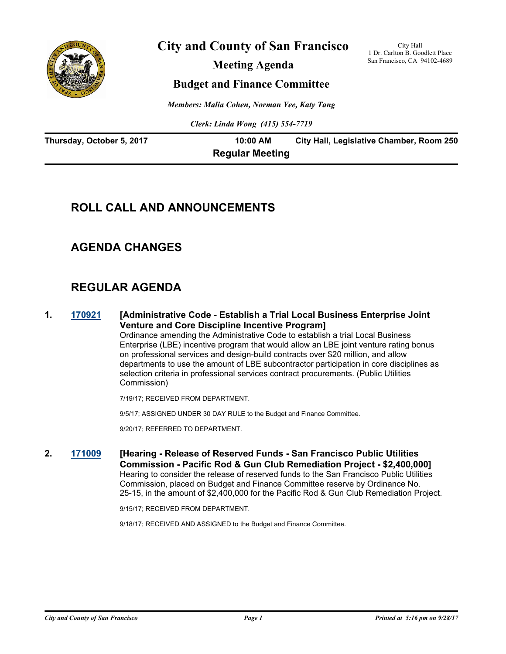

**City and County of San Francisco**

**Meeting Agenda**

City Hall 1 Dr. Carlton B. Goodlett Place San Francisco, CA 94102-4689

## **Budget and Finance Committee**

*Members: Malia Cohen, Norman Yee, Katy Tang*

*Clerk: Linda Wong (415) 554-7719*

| Thursday, October 5, 2017 | 10:00 AM               | City Hall, Legislative Chamber, Room 250 |
|---------------------------|------------------------|------------------------------------------|
|                           | <b>Regular Meeting</b> |                                          |

## **ROLL CALL AND ANNOUNCEMENTS**

## **AGENDA CHANGES**

## **REGULAR AGENDA**

**1. [170921](http://sfgov.legistar.com/gateway.aspx?m=l&id=32467) [Administrative Code - Establish a Trial Local Business Enterprise Joint Venture and Core Discipline Incentive Program]**

Ordinance amending the Administrative Code to establish a trial Local Business Enterprise (LBE) incentive program that would allow an LBE joint venture rating bonus on professional services and design-build contracts over \$20 million, and allow departments to use the amount of LBE subcontractor participation in core disciplines as selection criteria in professional services contract procurements. (Public Utilities Commission)

7/19/17; RECEIVED FROM DEPARTMENT.

9/5/17; ASSIGNED UNDER 30 DAY RULE to the Budget and Finance Committee.

9/20/17; REFERRED TO DEPARTMENT.

**2. [171009](http://sfgov.legistar.com/gateway.aspx?m=l&id=32555) [Hearing - Release of Reserved Funds - San Francisco Public Utilities Commission - Pacific Rod & Gun Club Remediation Project - \$2,400,000]** Hearing to consider the release of reserved funds to the San Francisco Public Utilities Commission, placed on Budget and Finance Committee reserve by Ordinance No. 25-15, in the amount of \$2,400,000 for the Pacific Rod & Gun Club Remediation Project.

9/15/17; RECEIVED FROM DEPARTMENT.

9/18/17; RECEIVED AND ASSIGNED to the Budget and Finance Committee.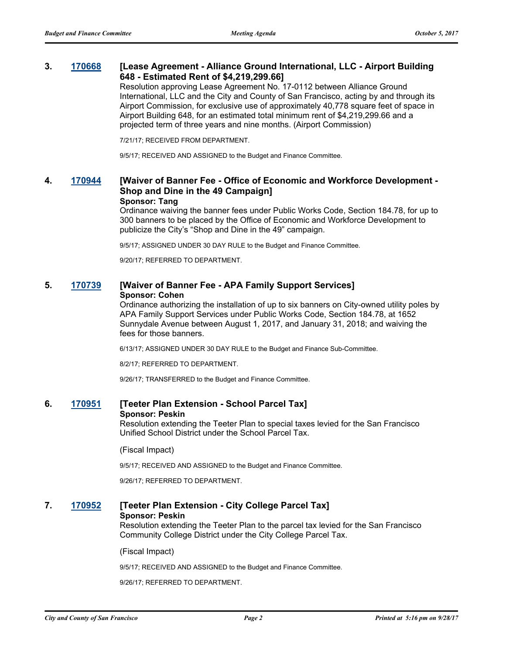#### **3. [170668](http://sfgov.legistar.com/gateway.aspx?m=l&id=32214) [Lease Agreement - Alliance Ground International, LLC - Airport Building 648 - Estimated Rent of \$4,219,299.66]**

Resolution approving Lease Agreement No. 17-0112 between Alliance Ground International, LLC and the City and County of San Francisco, acting by and through its Airport Commission, for exclusive use of approximately 40,778 square feet of space in Airport Building 648, for an estimated total minimum rent of \$4,219,299.66 and a projected term of three years and nine months. (Airport Commission)

7/21/17; RECEIVED FROM DEPARTMENT.

9/5/17; RECEIVED AND ASSIGNED to the Budget and Finance Committee.

#### **4. [170944](http://sfgov.legistar.com/gateway.aspx?m=l&id=32490) [Waiver of Banner Fee - Office of Economic and Workforce Development - Shop and Dine in the 49 Campaign] Sponsor: Tang**

Ordinance waiving the banner fees under Public Works Code, Section 184.78, for up to 300 banners to be placed by the Office of Economic and Workforce Development to publicize the City's "Shop and Dine in the 49" campaign.

9/5/17; ASSIGNED UNDER 30 DAY RULE to the Budget and Finance Committee.

9/20/17; REFERRED TO DEPARTMENT.

#### **5. [170739](http://sfgov.legistar.com/gateway.aspx?m=l&id=32285) [Waiver of Banner Fee - APA Family Support Services] Sponsor: Cohen**

Ordinance authorizing the installation of up to six banners on City-owned utility poles by APA Family Support Services under Public Works Code, Section 184.78, at 1652 Sunnydale Avenue between August 1, 2017, and January 31, 2018; and waiving the fees for those banners.

6/13/17; ASSIGNED UNDER 30 DAY RULE to the Budget and Finance Sub-Committee.

8/2/17; REFERRED TO DEPARTMENT.

9/26/17; TRANSFERRED to the Budget and Finance Committee.

#### **6. [170951](http://sfgov.legistar.com/gateway.aspx?m=l&id=32497) [Teeter Plan Extension - School Parcel Tax] Sponsor: Peskin**

Resolution extending the Teeter Plan to special taxes levied for the San Francisco Unified School District under the School Parcel Tax.

(Fiscal Impact)

9/5/17; RECEIVED AND ASSIGNED to the Budget and Finance Committee.

9/26/17; REFERRED TO DEPARTMENT.

#### **7. [170952](http://sfgov.legistar.com/gateway.aspx?m=l&id=32498) [Teeter Plan Extension - City College Parcel Tax] Sponsor: Peskin**

Resolution extending the Teeter Plan to the parcel tax levied for the San Francisco Community College District under the City College Parcel Tax.

#### (Fiscal Impact)

9/5/17; RECEIVED AND ASSIGNED to the Budget and Finance Committee.

9/26/17; REFERRED TO DEPARTMENT.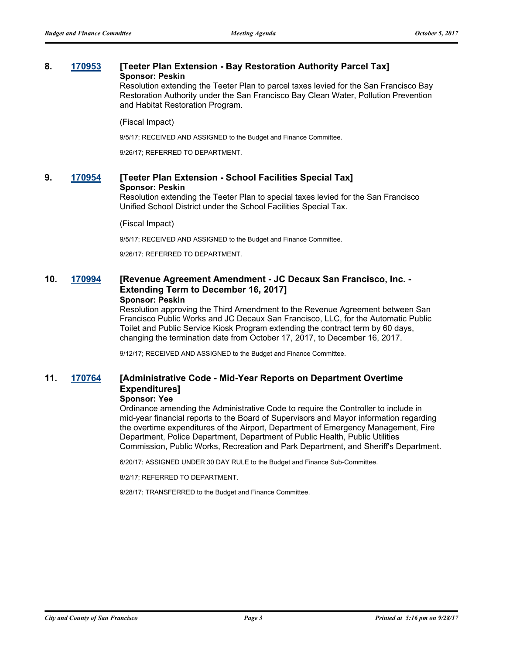#### **8. [170953](http://sfgov.legistar.com/gateway.aspx?m=l&id=32499) [Teeter Plan Extension - Bay Restoration Authority Parcel Tax] Sponsor: Peskin**

Resolution extending the Teeter Plan to parcel taxes levied for the San Francisco Bay Restoration Authority under the San Francisco Bay Clean Water, Pollution Prevention and Habitat Restoration Program.

#### (Fiscal Impact)

9/5/17; RECEIVED AND ASSIGNED to the Budget and Finance Committee.

9/26/17; REFERRED TO DEPARTMENT.

#### **9. [170954](http://sfgov.legistar.com/gateway.aspx?m=l&id=32500) [Teeter Plan Extension - School Facilities Special Tax] Sponsor: Peskin**

Resolution extending the Teeter Plan to special taxes levied for the San Francisco Unified School District under the School Facilities Special Tax.

#### (Fiscal Impact)

9/5/17; RECEIVED AND ASSIGNED to the Budget and Finance Committee.

9/26/17; REFERRED TO DEPARTMENT.

#### **10. [170994](http://sfgov.legistar.com/gateway.aspx?m=l&id=32540) [Revenue Agreement Amendment - JC Decaux San Francisco, Inc. - Extending Term to December 16, 2017] Sponsor: Peskin**

Resolution approving the Third Amendment to the Revenue Agreement between San Francisco Public Works and JC Decaux San Francisco, LLC, for the Automatic Public Toilet and Public Service Kiosk Program extending the contract term by 60 days, changing the termination date from October 17, 2017, to December 16, 2017.

9/12/17; RECEIVED AND ASSIGNED to the Budget and Finance Committee.

## **11. [170764](http://sfgov.legistar.com/gateway.aspx?m=l&id=32310) [Administrative Code - Mid-Year Reports on Department Overtime Expenditures]**

## **Sponsor: Yee**

Ordinance amending the Administrative Code to require the Controller to include in mid-year financial reports to the Board of Supervisors and Mayor information regarding the overtime expenditures of the Airport, Department of Emergency Management, Fire Department, Police Department, Department of Public Health, Public Utilities Commission, Public Works, Recreation and Park Department, and Sheriff's Department.

6/20/17; ASSIGNED UNDER 30 DAY RULE to the Budget and Finance Sub-Committee.

8/2/17; REFERRED TO DEPARTMENT.

9/28/17; TRANSFERRED to the Budget and Finance Committee.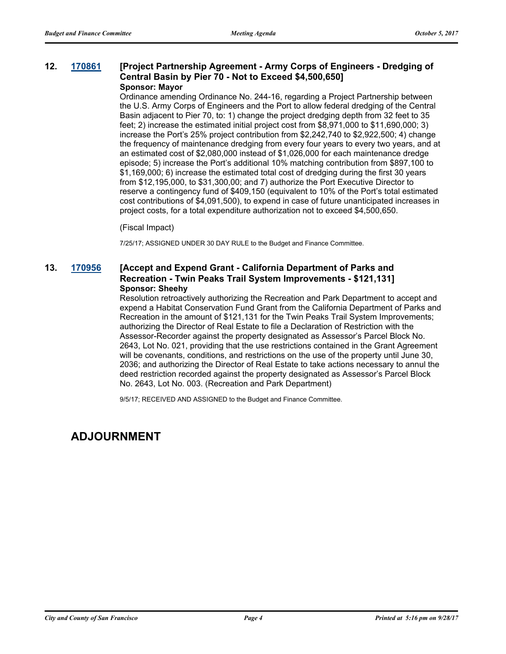#### **12. [170861](http://sfgov.legistar.com/gateway.aspx?m=l&id=32407) [Project Partnership Agreement - Army Corps of Engineers - Dredging of Central Basin by Pier 70 - Not to Exceed \$4,500,650] Sponsor: Mayor**

Ordinance amending Ordinance No. 244-16, regarding a Project Partnership between the U.S. Army Corps of Engineers and the Port to allow federal dredging of the Central Basin adjacent to Pier 70, to: 1) change the project dredging depth from 32 feet to 35 feet; 2) increase the estimated initial project cost from \$8,971,000 to \$11,690,000; 3) increase the Port's 25% project contribution from \$2,242,740 to \$2,922,500; 4) change the frequency of maintenance dredging from every four years to every two years, and at an estimated cost of \$2,080,000 instead of \$1,026,000 for each maintenance dredge episode; 5) increase the Port's additional 10% matching contribution from \$897,100 to \$1,169,000; 6) increase the estimated total cost of dredging during the first 30 years from \$12,195,000, to \$31,300,00; and 7) authorize the Port Executive Director to reserve a contingency fund of \$409,150 (equivalent to 10% of the Port's total estimated cost contributions of \$4,091,500), to expend in case of future unanticipated increases in project costs, for a total expenditure authorization not to exceed \$4,500,650.

#### (Fiscal Impact)

7/25/17; ASSIGNED UNDER 30 DAY RULE to the Budget and Finance Committee.

#### **13. [170956](http://sfgov.legistar.com/gateway.aspx?m=l&id=32502) [Accept and Expend Grant - California Department of Parks and Recreation - Twin Peaks Trail System Improvements - \$121,131] Sponsor: Sheehy**

Resolution retroactively authorizing the Recreation and Park Department to accept and expend a Habitat Conservation Fund Grant from the California Department of Parks and Recreation in the amount of \$121,131 for the Twin Peaks Trail System Improvements; authorizing the Director of Real Estate to file a Declaration of Restriction with the Assessor-Recorder against the property designated as Assessor's Parcel Block No. 2643, Lot No. 021, providing that the use restrictions contained in the Grant Agreement will be covenants, conditions, and restrictions on the use of the property until June 30, 2036; and authorizing the Director of Real Estate to take actions necessary to annul the deed restriction recorded against the property designated as Assessor's Parcel Block No. 2643, Lot No. 003. (Recreation and Park Department)

9/5/17; RECEIVED AND ASSIGNED to the Budget and Finance Committee.

## **ADJOURNMENT**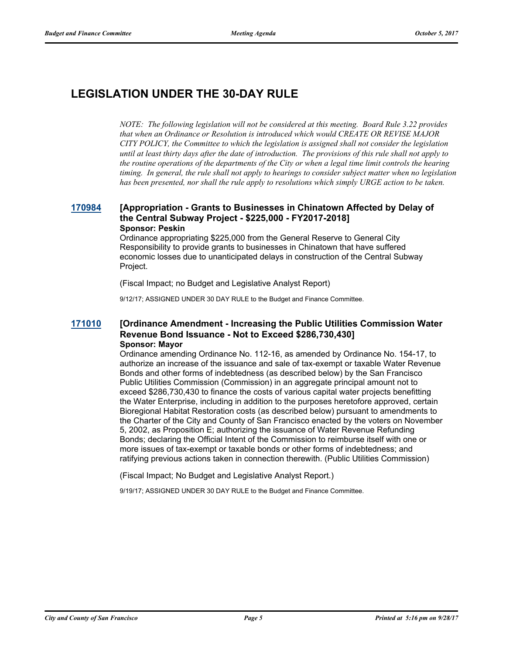# **LEGISLATION UNDER THE 30-DAY RULE**

*NOTE: The following legislation will not be considered at this meeting. Board Rule 3.22 provides that when an Ordinance or Resolution is introduced which would CREATE OR REVISE MAJOR CITY POLICY, the Committee to which the legislation is assigned shall not consider the legislation until at least thirty days after the date of introduction. The provisions of this rule shall not apply to the routine operations of the departments of the City or when a legal time limit controls the hearing timing. In general, the rule shall not apply to hearings to consider subject matter when no legislation has been presented, nor shall the rule apply to resolutions which simply URGE action to be taken.*

#### **[170984](http://sfgov.legistar.com/gateway.aspx?m=l&id=32530) [Appropriation - Grants to Businesses in Chinatown Affected by Delay of the Central Subway Project - \$225,000 - FY2017-2018] Sponsor: Peskin**

Ordinance appropriating \$225,000 from the General Reserve to General City Responsibility to provide grants to businesses in Chinatown that have suffered economic losses due to unanticipated delays in construction of the Central Subway Project.

(Fiscal Impact; no Budget and Legislative Analyst Report)

9/12/17; ASSIGNED UNDER 30 DAY RULE to the Budget and Finance Committee.

#### **[171010](http://sfgov.legistar.com/gateway.aspx?m=l&id=32556) [Ordinance Amendment - Increasing the Public Utilities Commission Water Revenue Bond Issuance - Not to Exceed \$286,730,430] Sponsor: Mayor**

Ordinance amending Ordinance No. 112-16, as amended by Ordinance No. 154-17, to authorize an increase of the issuance and sale of tax-exempt or taxable Water Revenue Bonds and other forms of indebtedness (as described below) by the San Francisco Public Utilities Commission (Commission) in an aggregate principal amount not to exceed \$286,730,430 to finance the costs of various capital water projects benefitting the Water Enterprise, including in addition to the purposes heretofore approved, certain Bioregional Habitat Restoration costs (as described below) pursuant to amendments to the Charter of the City and County of San Francisco enacted by the voters on November 5, 2002, as Proposition E; authorizing the issuance of Water Revenue Refunding Bonds; declaring the Official Intent of the Commission to reimburse itself with one or more issues of tax-exempt or taxable bonds or other forms of indebtedness; and ratifying previous actions taken in connection therewith. (Public Utilities Commission)

(Fiscal Impact; No Budget and Legislative Analyst Report.)

9/19/17; ASSIGNED UNDER 30 DAY RULE to the Budget and Finance Committee.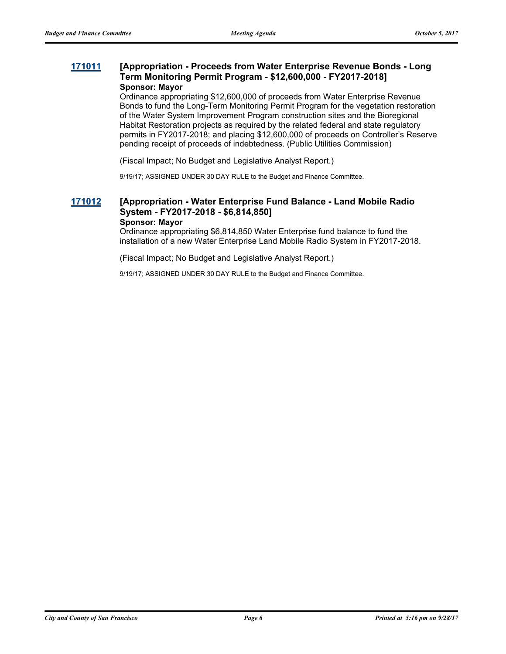#### **[171011](http://sfgov.legistar.com/gateway.aspx?m=l&id=32557) [Appropriation - Proceeds from Water Enterprise Revenue Bonds - Long Term Monitoring Permit Program - \$12,600,000 - FY2017-2018] Sponsor: Mayor**

Ordinance appropriating \$12,600,000 of proceeds from Water Enterprise Revenue Bonds to fund the Long-Term Monitoring Permit Program for the vegetation restoration of the Water System Improvement Program construction sites and the Bioregional Habitat Restoration projects as required by the related federal and state regulatory permits in FY2017-2018; and placing \$12,600,000 of proceeds on Controller's Reserve pending receipt of proceeds of indebtedness. (Public Utilities Commission)

(Fiscal Impact; No Budget and Legislative Analyst Report.)

9/19/17; ASSIGNED UNDER 30 DAY RULE to the Budget and Finance Committee.

#### **[171012](http://sfgov.legistar.com/gateway.aspx?m=l&id=32558) [Appropriation - Water Enterprise Fund Balance - Land Mobile Radio System - FY2017-2018 - \$6,814,850] Sponsor: Mayor**

Ordinance appropriating \$6,814,850 Water Enterprise fund balance to fund the installation of a new Water Enterprise Land Mobile Radio System in FY2017-2018.

(Fiscal Impact; No Budget and Legislative Analyst Report.)

9/19/17; ASSIGNED UNDER 30 DAY RULE to the Budget and Finance Committee.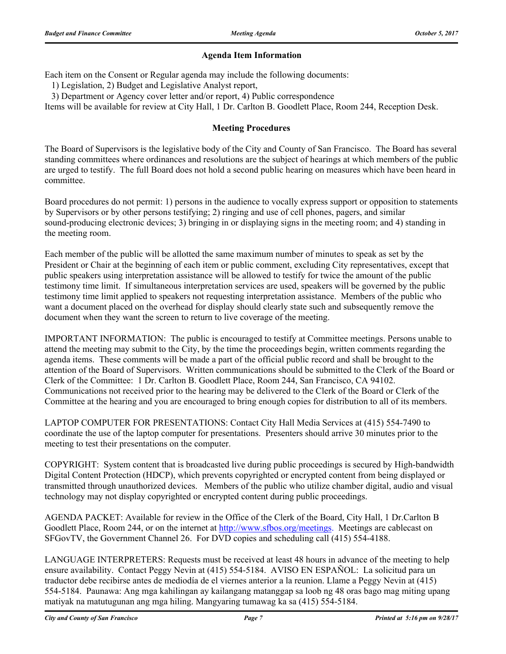### **Agenda Item Information**

Each item on the Consent or Regular agenda may include the following documents:

1) Legislation, 2) Budget and Legislative Analyst report,

3) Department or Agency cover letter and/or report, 4) Public correspondence

Items will be available for review at City Hall, 1 Dr. Carlton B. Goodlett Place, Room 244, Reception Desk.

#### **Meeting Procedures**

The Board of Supervisors is the legislative body of the City and County of San Francisco. The Board has several standing committees where ordinances and resolutions are the subject of hearings at which members of the public are urged to testify. The full Board does not hold a second public hearing on measures which have been heard in committee.

Board procedures do not permit: 1) persons in the audience to vocally express support or opposition to statements by Supervisors or by other persons testifying; 2) ringing and use of cell phones, pagers, and similar sound-producing electronic devices; 3) bringing in or displaying signs in the meeting room; and 4) standing in the meeting room.

Each member of the public will be allotted the same maximum number of minutes to speak as set by the President or Chair at the beginning of each item or public comment, excluding City representatives, except that public speakers using interpretation assistance will be allowed to testify for twice the amount of the public testimony time limit. If simultaneous interpretation services are used, speakers will be governed by the public testimony time limit applied to speakers not requesting interpretation assistance. Members of the public who want a document placed on the overhead for display should clearly state such and subsequently remove the document when they want the screen to return to live coverage of the meeting.

IMPORTANT INFORMATION: The public is encouraged to testify at Committee meetings. Persons unable to attend the meeting may submit to the City, by the time the proceedings begin, written comments regarding the agenda items. These comments will be made a part of the official public record and shall be brought to the attention of the Board of Supervisors. Written communications should be submitted to the Clerk of the Board or Clerk of the Committee: 1 Dr. Carlton B. Goodlett Place, Room 244, San Francisco, CA 94102. Communications not received prior to the hearing may be delivered to the Clerk of the Board or Clerk of the Committee at the hearing and you are encouraged to bring enough copies for distribution to all of its members.

LAPTOP COMPUTER FOR PRESENTATIONS: Contact City Hall Media Services at (415) 554-7490 to coordinate the use of the laptop computer for presentations. Presenters should arrive 30 minutes prior to the meeting to test their presentations on the computer.

COPYRIGHT: System content that is broadcasted live during public proceedings is secured by High-bandwidth Digital Content Protection (HDCP), which prevents copyrighted or encrypted content from being displayed or transmitted through unauthorized devices. Members of the public who utilize chamber digital, audio and visual technology may not display copyrighted or encrypted content during public proceedings.

AGENDA PACKET: Available for review in the Office of the Clerk of the Board, City Hall, 1 Dr.Carlton B Goodlett Place, Room 244, or on the internet at http://www.sfbos.org/meetings. Meetings are cablecast on SFGovTV, the Government Channel 26. For DVD copies and scheduling call (415) 554-4188.

LANGUAGE INTERPRETERS: Requests must be received at least 48 hours in advance of the meeting to help ensure availability. Contact Peggy Nevin at (415) 554-5184. AVISO EN ESPAÑOL: La solicitud para un traductor debe recibirse antes de mediodía de el viernes anterior a la reunion. Llame a Peggy Nevin at (415) 554-5184. Paunawa: Ang mga kahilingan ay kailangang matanggap sa loob ng 48 oras bago mag miting upang matiyak na matutugunan ang mga hiling. Mangyaring tumawag ka sa (415) 554-5184.